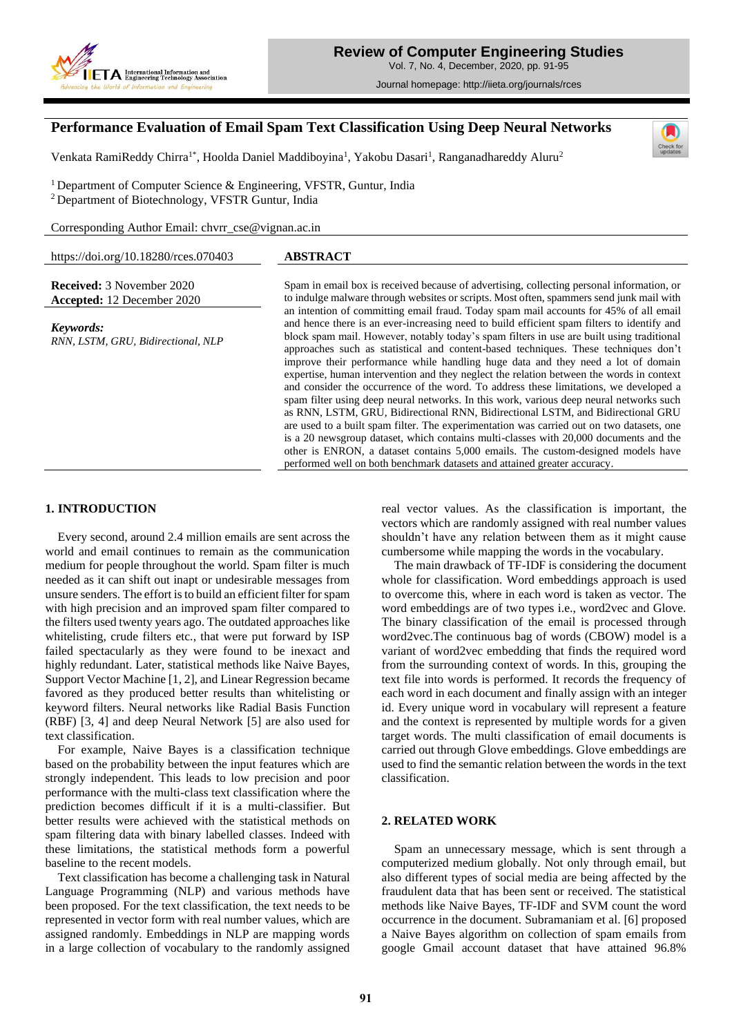

Journal homepage: http://iieta.org/journals/rces

# **Performance Evaluation of Email Spam Text Classification Using Deep Neural Networks**

Venkata RamiReddy Chirra<sup>1\*</sup>, Hoolda Daniel Maddiboyina<sup>1</sup>, Yakobu Dasari<sup>1</sup>, Ranganadhareddy Aluru<sup>2</sup>



<sup>1</sup> Department of Computer Science & Engineering, VFSTR, Guntur, India <sup>2</sup>Department of Biotechnology, VFSTR Guntur, India

Corresponding Author Email: chvrr\_cse@vignan.ac.in

| https://doi.org/10.18280/rces.070403            | <b>ABSTRACT</b>                                                                                                                                                                                                                                                                                                                                                                                                                                                                                                                                                                                                                                                                                                                                                                                                                                                                                                                                                                                                                                                                                                                                                                      |
|-------------------------------------------------|--------------------------------------------------------------------------------------------------------------------------------------------------------------------------------------------------------------------------------------------------------------------------------------------------------------------------------------------------------------------------------------------------------------------------------------------------------------------------------------------------------------------------------------------------------------------------------------------------------------------------------------------------------------------------------------------------------------------------------------------------------------------------------------------------------------------------------------------------------------------------------------------------------------------------------------------------------------------------------------------------------------------------------------------------------------------------------------------------------------------------------------------------------------------------------------|
|                                                 |                                                                                                                                                                                                                                                                                                                                                                                                                                                                                                                                                                                                                                                                                                                                                                                                                                                                                                                                                                                                                                                                                                                                                                                      |
| <b>Received:</b> 3 November 2020                | Spam in email box is received because of advertising, collecting personal information, or                                                                                                                                                                                                                                                                                                                                                                                                                                                                                                                                                                                                                                                                                                                                                                                                                                                                                                                                                                                                                                                                                            |
| <b>Accepted:</b> 12 December 2020               | to indulge malware through websites or scripts. Most often, spammers send junk mail with                                                                                                                                                                                                                                                                                                                                                                                                                                                                                                                                                                                                                                                                                                                                                                                                                                                                                                                                                                                                                                                                                             |
| Keywords:<br>RNN, LSTM, GRU, Bidirectional, NLP | an intention of committing email fraud. Today spam mail accounts for 45% of all email<br>and hence there is an ever-increasing need to build efficient spam filters to identify and<br>block spam mail. However, notably today's spam filters in use are built using traditional<br>approaches such as statistical and content-based techniques. These techniques don't<br>improve their performance while handling huge data and they need a lot of domain<br>expertise, human intervention and they neglect the relation between the words in context<br>and consider the occurrence of the word. To address these limitations, we developed a<br>spam filter using deep neural networks. In this work, various deep neural networks such<br>as RNN, LSTM, GRU, Bidirectional RNN, Bidirectional LSTM, and Bidirectional GRU<br>are used to a built spam filter. The experimentation was carried out on two datasets, one<br>is a 20 newsgroup dataset, which contains multi-classes with 20,000 documents and the<br>other is ENRON, a dataset contains 5,000 emails. The custom-designed models have<br>performed well on both benchmark datasets and attained greater accuracy. |

# **1. INTRODUCTION**

Every second, around 2.4 million emails are sent across the world and email continues to remain as the communication medium for people throughout the world. Spam filter is much needed as it can shift out inapt or undesirable messages from unsure senders. The effort is to build an efficient filter for spam with high precision and an improved spam filter compared to the filters used twenty years ago. The outdated approaches like whitelisting, crude filters etc., that were put forward by ISP failed spectacularly as they were found to be inexact and highly redundant. Later, statistical methods like Naive Bayes, Support Vector Machine [1, 2], and Linear Regression became favored as they produced better results than whitelisting or keyword filters. Neural networks like Radial Basis Function (RBF) [3, 4] and deep Neural Network [5] are also used for text classification.

For example, Naive Bayes is a classification technique based on the probability between the input features which are strongly independent. This leads to low precision and poor performance with the multi-class text classification where the prediction becomes difficult if it is a multi-classifier. But better results were achieved with the statistical methods on spam filtering data with binary labelled classes. Indeed with these limitations, the statistical methods form a powerful baseline to the recent models.

Text classification has become a challenging task in Natural Language Programming (NLP) and various methods have been proposed. For the text classification, the text needs to be represented in vector form with real number values, which are assigned randomly. Embeddings in NLP are mapping words in a large collection of vocabulary to the randomly assigned real vector values. As the classification is important, the vectors which are randomly assigned with real number values shouldn't have any relation between them as it might cause cumbersome while mapping the words in the vocabulary.

The main drawback of TF-IDF is considering the document whole for classification. Word embeddings approach is used to overcome this, where in each word is taken as vector. The word embeddings are of two types i.e., word2vec and Glove. The binary classification of the email is processed through word2vec.The continuous bag of words (CBOW) model is a variant of word2vec embedding that finds the required word from the surrounding context of words. In this, grouping the text file into words is performed. It records the frequency of each word in each document and finally assign with an integer id. Every unique word in vocabulary will represent a feature and the context is represented by multiple words for a given target words. The multi classification of email documents is carried out through Glove embeddings. Glove embeddings are used to find the semantic relation between the words in the text classification.

# **2. RELATED WORK**

Spam an unnecessary message, which is sent through a computerized medium globally. Not only through email, but also different types of social media are being affected by the fraudulent data that has been sent or received. The statistical methods like Naive Bayes, TF-IDF and SVM count the word occurrence in the document. Subramaniam et al. [6] proposed a Naive Bayes algorithm on collection of spam emails from google Gmail account dataset that have attained 96.8%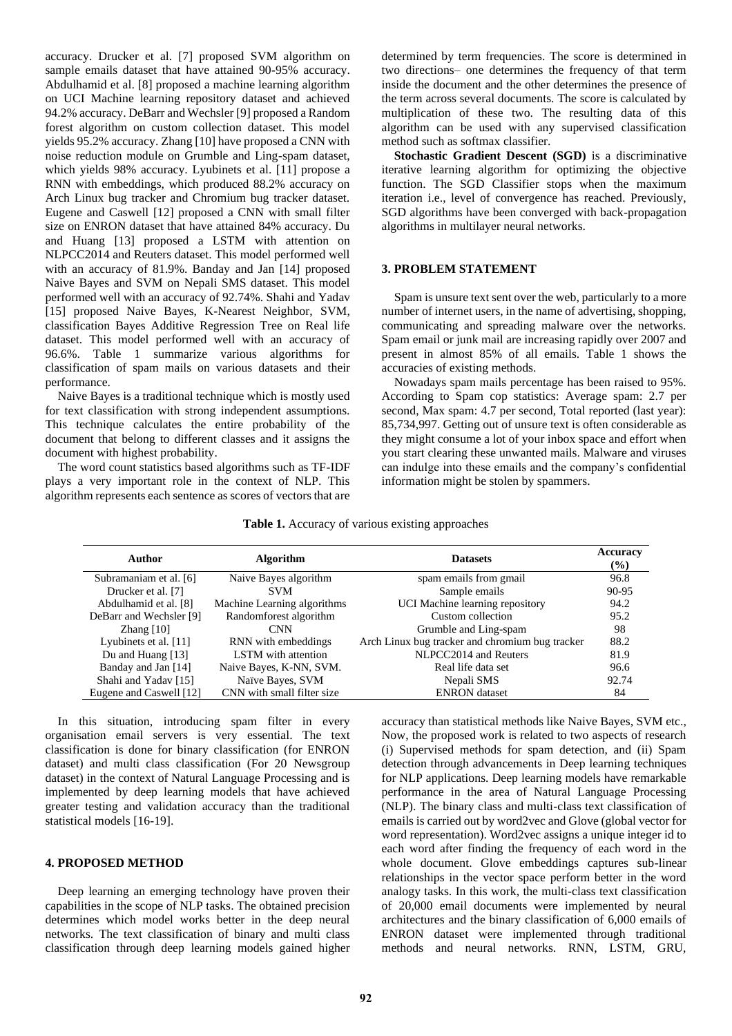accuracy. Drucker et al. [7] proposed SVM algorithm on sample emails dataset that have attained 90-95% accuracy. Abdulhamid et al. [8] proposed a machine learning algorithm on UCI Machine learning repository dataset and achieved 94.2% accuracy. DeBarr and Wechsler [9] proposed a Random forest algorithm on custom collection dataset. This model yields 95.2% accuracy. Zhang [10] have proposed a CNN with noise reduction module on Grumble and Ling-spam dataset, which yields 98% accuracy. Lyubinets et al. [11] propose a RNN with embeddings, which produced 88.2% accuracy on Arch Linux bug tracker and Chromium bug tracker dataset. Eugene and Caswell [12] proposed a CNN with small filter size on ENRON dataset that have attained 84% accuracy. Du and Huang [13] proposed a LSTM with attention on NLPCC2014 and Reuters dataset. This model performed well with an accuracy of 81.9%. Banday and Jan [14] proposed Naive Bayes and SVM on Nepali SMS dataset. This model performed well with an accuracy of 92.74%. Shahi and Yadav [15] proposed Naive Bayes, K-Nearest Neighbor, SVM, classification Bayes Additive Regression Tree on Real life dataset. This model performed well with an accuracy of 96.6%. Table 1 summarize various algorithms for classification of spam mails on various datasets and their performance.

Naive Bayes is a traditional technique which is mostly used for text classification with strong independent assumptions. This technique calculates the entire probability of the document that belong to different classes and it assigns the document with highest probability.

The word count statistics based algorithms such as TF-IDF plays a very important role in the context of NLP. This algorithm represents each sentence as scores of vectors that are determined by term frequencies. The score is determined in two directions– one determines the frequency of that term inside the document and the other determines the presence of the term across several documents. The score is calculated by multiplication of these two. The resulting data of this algorithm can be used with any supervised classification method such as softmax classifier.

**Stochastic Gradient Descent (SGD)** is a discriminative iterative learning algorithm for optimizing the objective function. The SGD Classifier stops when the maximum iteration i.e., level of convergence has reached. Previously, SGD algorithms have been converged with back-propagation algorithms in multilayer neural networks.

#### **3. PROBLEM STATEMENT**

Spam is unsure text sent over the web, particularly to a more number of internet users, in the name of advertising, shopping, communicating and spreading malware over the networks. Spam email or junk mail are increasing rapidly over 2007 and present in almost 85% of all emails. Table 1 shows the accuracies of existing methods.

Nowadays spam mails percentage has been raised to 95%. According to Spam cop statistics: Average spam: 2.7 per second, Max spam: 4.7 per second, Total reported (last year): 85,734,997. Getting out of unsure text is often considerable as they might consume a lot of your inbox space and effort when you start clearing these unwanted mails. Malware and viruses can indulge into these emails and the company's confidential information might be stolen by spammers.

|  |  | Table 1. Accuracy of various existing approaches |
|--|--|--------------------------------------------------|
|  |  |                                                  |

| Author                  | <b>Algorithm</b>            | <b>Datasets</b>                                 | Accuracy<br>$(\%)$ |
|-------------------------|-----------------------------|-------------------------------------------------|--------------------|
| Subramaniam et al. [6]  | Naive Bayes algorithm       | spam emails from gmail                          | 96.8               |
| Drucker et al. [7]      | <b>SVM</b>                  | Sample emails                                   | 90-95              |
| Abdulhamid et al. [8]   | Machine Learning algorithms | UCI Machine learning repository                 | 94.2               |
| DeBarr and Wechsler [9] | Randomforest algorithm      | Custom collection                               | 95.2               |
| Zhang $[10]$            | <b>CNN</b>                  | Grumble and Ling-spam                           | 98                 |
| Lyubinets et al. [11]   | RNN with embeddings         | Arch Linux bug tracker and chromium bug tracker | 88.2               |
| Du and Huang [13]       | <b>LSTM</b> with attention  | NLPCC2014 and Reuters                           | 81.9               |
| Banday and Jan [14]     | Naive Bayes, K-NN, SVM.     | Real life data set                              | 96.6               |
| Shahi and Yadav [15]    | Naïve Bayes, SVM            | Nepali SMS                                      | 92.74              |
| Eugene and Caswell [12] | CNN with small filter size  | <b>ENRON</b> dataset                            | 84                 |

In this situation, introducing spam filter in every organisation email servers is very essential. The text classification is done for binary classification (for ENRON dataset) and multi class classification (For 20 Newsgroup dataset) in the context of Natural Language Processing and is implemented by deep learning models that have achieved greater testing and validation accuracy than the traditional statistical models [16-19].

## **4. PROPOSED METHOD**

Deep learning an emerging technology have proven their capabilities in the scope of NLP tasks. The obtained precision determines which model works better in the deep neural networks. The text classification of binary and multi class classification through deep learning models gained higher accuracy than statistical methods like Naive Bayes, SVM etc., Now, the proposed work is related to two aspects of research (i) Supervised methods for spam detection, and (ii) Spam detection through advancements in Deep learning techniques for NLP applications. Deep learning models have remarkable performance in the area of Natural Language Processing (NLP). The binary class and multi-class text classification of emails is carried out by word2vec and Glove (global vector for word representation). Word2vec assigns a unique integer id to each word after finding the frequency of each word in the whole document. Glove embeddings captures sub-linear relationships in the vector space perform better in the word analogy tasks. In this work, the multi-class text classification of 20,000 email documents were implemented by neural architectures and the binary classification of 6,000 emails of ENRON dataset were implemented through traditional methods and neural networks. RNN, LSTM, GRU,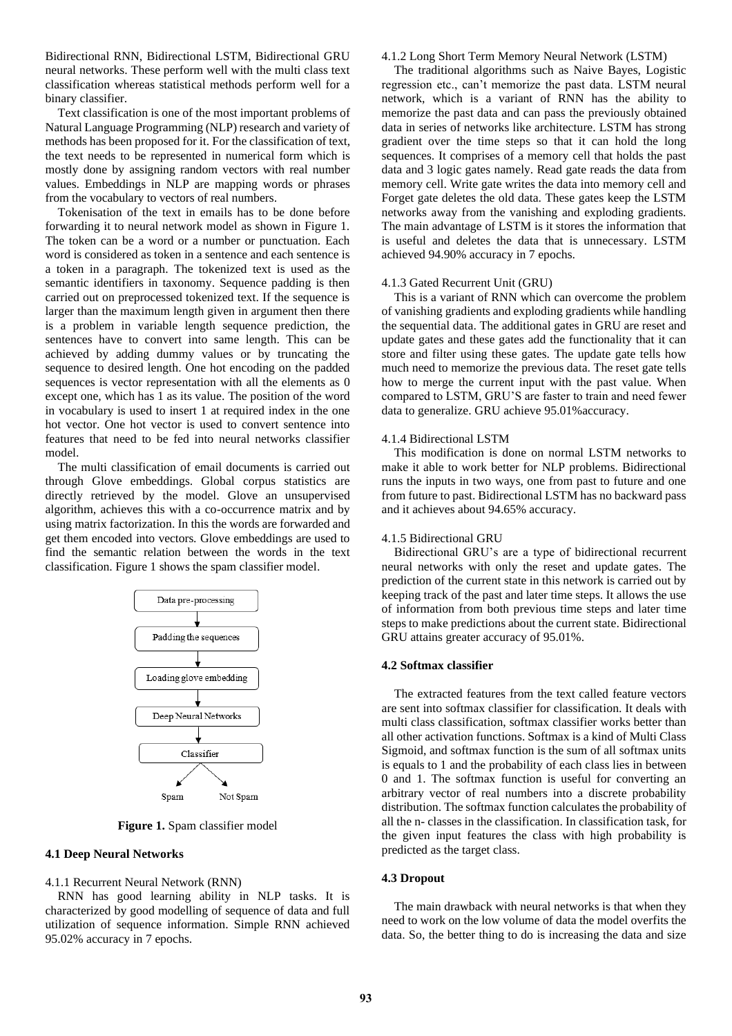Bidirectional RNN, Bidirectional LSTM, Bidirectional GRU neural networks. These perform well with the multi class text classification whereas statistical methods perform well for a binary classifier.

Text classification is one of the most important problems of Natural Language Programming (NLP) research and variety of methods has been proposed for it. For the classification of text, the text needs to be represented in numerical form which is mostly done by assigning random vectors with real number values. Embeddings in NLP are mapping words or phrases from the vocabulary to vectors of real numbers.

Tokenisation of the text in emails has to be done before forwarding it to neural network model as shown in Figure 1. The token can be a word or a number or punctuation. Each word is considered as token in a sentence and each sentence is a token in a paragraph. The tokenized text is used as the semantic identifiers in taxonomy. Sequence padding is then carried out on preprocessed tokenized text. If the sequence is larger than the maximum length given in argument then there is a problem in variable length sequence prediction, the sentences have to convert into same length. This can be achieved by adding dummy values or by truncating the sequence to desired length. One hot encoding on the padded sequences is vector representation with all the elements as 0 except one, which has 1 as its value. The position of the word in vocabulary is used to insert 1 at required index in the one hot vector. One hot vector is used to convert sentence into features that need to be fed into neural networks classifier model.

The multi classification of email documents is carried out through Glove embeddings. Global corpus statistics are directly retrieved by the model. Glove an unsupervised algorithm, achieves this with a co-occurrence matrix and by using matrix factorization. In this the words are forwarded and get them encoded into vectors. Glove embeddings are used to find the semantic relation between the words in the text classification. Figure 1 shows the spam classifier model.



**Figure 1.** Spam classifier model

## **4.1 Deep Neural Networks**

4.1.1 Recurrent Neural Network (RNN)

RNN has good learning ability in NLP tasks. It is characterized by good modelling of sequence of data and full utilization of sequence information. Simple RNN achieved 95.02% accuracy in 7 epochs.

#### 4.1.2 Long Short Term Memory Neural Network (LSTM)

The traditional algorithms such as Naive Bayes, Logistic regression etc., can't memorize the past data. LSTM neural network, which is a variant of RNN has the ability to memorize the past data and can pass the previously obtained data in series of networks like architecture. LSTM has strong gradient over the time steps so that it can hold the long sequences. It comprises of a memory cell that holds the past data and 3 logic gates namely. Read gate reads the data from memory cell. Write gate writes the data into memory cell and Forget gate deletes the old data. These gates keep the LSTM networks away from the vanishing and exploding gradients. The main advantage of LSTM is it stores the information that is useful and deletes the data that is unnecessary. LSTM achieved 94.90% accuracy in 7 epochs.

#### 4.1.3 Gated Recurrent Unit (GRU)

This is a variant of RNN which can overcome the problem of vanishing gradients and exploding gradients while handling the sequential data. The additional gates in GRU are reset and update gates and these gates add the functionality that it can store and filter using these gates. The update gate tells how much need to memorize the previous data. The reset gate tells how to merge the current input with the past value. When compared to LSTM, GRU'S are faster to train and need fewer data to generalize. GRU achieve 95.01%accuracy.

## 4.1.4 Bidirectional LSTM

This modification is done on normal LSTM networks to make it able to work better for NLP problems. Bidirectional runs the inputs in two ways, one from past to future and one from future to past. Bidirectional LSTM has no backward pass and it achieves about 94.65% accuracy.

#### 4.1.5 Bidirectional GRU

Bidirectional GRU's are a type of bidirectional recurrent neural networks with only the reset and update gates. The prediction of the current state in this network is carried out by keeping track of the past and later time steps. It allows the use of information from both previous time steps and later time steps to make predictions about the current state. Bidirectional GRU attains greater accuracy of 95.01%.

#### **4.2 Softmax classifier**

The extracted features from the text called feature vectors are sent into softmax classifier for classification. It deals with multi class classification, softmax classifier works better than all other activation functions. Softmax is a kind of Multi Class Sigmoid, and softmax function is the sum of all softmax units is equals to 1 and the probability of each class lies in between 0 and 1. The softmax function is useful for converting an arbitrary vector of real numbers into a discrete probability distribution. The softmax function calculates the probability of all the n- classes in the classification. In classification task, for the given input features the class with high probability is predicted as the target class.

#### **4.3 Dropout**

The main drawback with neural networks is that when they need to work on the low volume of data the model overfits the data. So, the better thing to do is increasing the data and size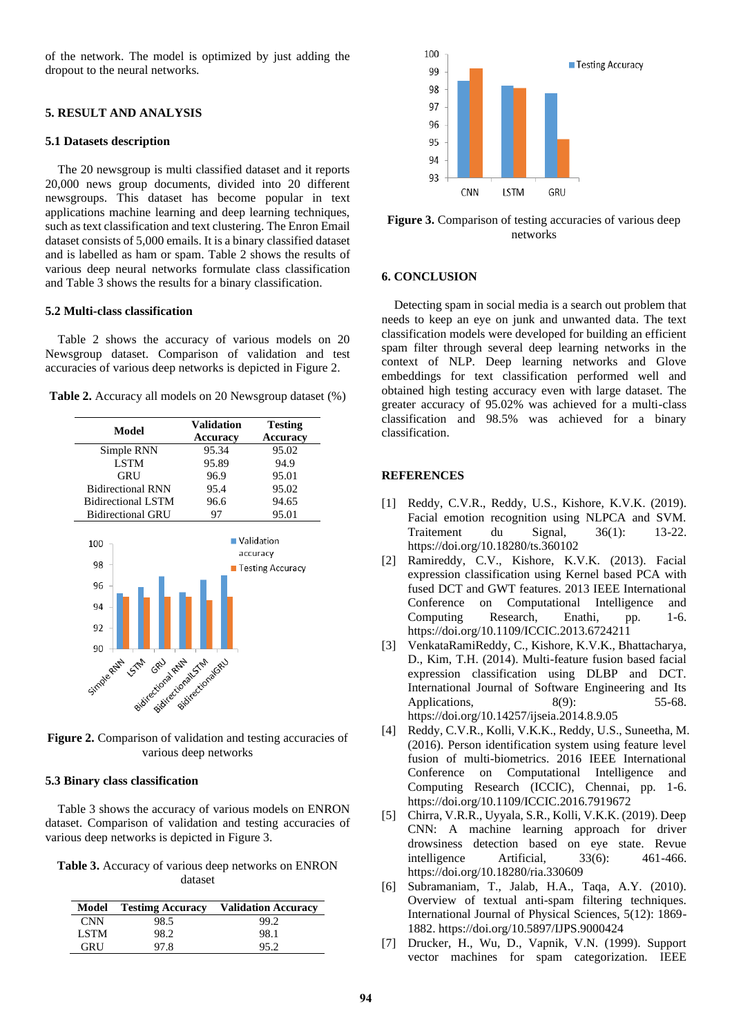of the network. The model is optimized by just adding the dropout to the neural networks.

## **5. RESULT AND ANALYSIS**

## **5.1 Datasets description**

The 20 newsgroup is multi classified dataset and it reports 20,000 news group documents, divided into 20 different newsgroups. This dataset has become popular in text applications machine learning and deep learning techniques, such as text classification and text clustering. The Enron Email dataset consists of 5,000 emails. It is a binary classified dataset and is labelled as ham or spam. Table 2 shows the results of various deep neural networks formulate class classification and Table 3 shows the results for a binary classification.

## **5.2 Multi-class classification**

Table 2 shows the accuracy of various models on 20 Newsgroup dataset. Comparison of validation and test accuracies of various deep networks is depicted in Figure 2.



**Figure 2.** Comparison of validation and testing accuracies of various deep networks

## **5.3 Binary class classification**

Table 3 shows the accuracy of various models on ENRON dataset. Comparison of validation and testing accuracies of various deep networks is depicted in Figure 3.

**Table 3.** Accuracy of various deep networks on ENRON dataset

|             | <b>Model</b> Testimg Accuracy | <b>Validation Accuracy</b> |
|-------------|-------------------------------|----------------------------|
| <b>CNN</b>  | 98.5                          | 99.2                       |
| <b>LSTM</b> | 98.2                          | 98.1                       |
| <b>GRU</b>  | 97.8                          | 95.2                       |



**Figure 3.** Comparison of testing accuracies of various deep networks

## **6. CONCLUSION**

Detecting spam in social media is a search out problem that needs to keep an eye on junk and unwanted data. The text classification models were developed for building an efficient spam filter through several deep learning networks in the context of NLP. Deep learning networks and Glove embeddings for text classification performed well and obtained high testing accuracy even with large dataset. The greater accuracy of 95.02% was achieved for a multi-class classification and 98.5% was achieved for a binary classification.

# **REFERENCES**

- [1] Reddy, C.V.R., Reddy, U.S., Kishore, K.V.K. (2019). Facial emotion recognition using NLPCA and SVM. Traitement du Signal, 36(1): 13-22. https://doi.org/10.18280/ts.360102
- [2] Ramireddy, C.V., Kishore, K.V.K. (2013). Facial expression classification using Kernel based PCA with fused DCT and GWT features. 2013 IEEE International Conference on Computational Intelligence and Computing Research, Enathi, pp. 1-6. https://doi.org/10.1109/ICCIC.2013.6724211
- [3] VenkataRamiReddy, C., Kishore, K.V.K., Bhattacharya, D., Kim, T.H. (2014). Multi-feature fusion based facial expression classification using DLBP and DCT. International Journal of Software Engineering and Its Applications, 8(9): 55-68. https://doi.org/10.14257/ijseia.2014.8.9.05
- [4] Reddy, C.V.R., Kolli, V.K.K., Reddy, U.S., Suneetha, M. (2016). Person identification system using feature level fusion of multi-biometrics. 2016 IEEE International Conference on Computational Intelligence and Computing Research (ICCIC), Chennai, pp. 1-6. https://doi.org/10.1109/ICCIC.2016.7919672
- [5] Chirra, V.R.R., Uyyala, S.R., Kolli, V.K.K. (2019). Deep CNN: A machine learning approach for driver drowsiness detection based on eye state. Revue intelligence Artificial, 33(6): 461-466. https://doi.org/10.18280/ria.330609
- [6] Subramaniam, T., Jalab, H.A., Taqa, A.Y. (2010). Overview of textual anti-spam filtering techniques. International Journal of Physical Sciences, 5(12): 1869- 1882. https://doi.org/10.5897/IJPS.9000424
- [7] Drucker, H., Wu, D., Vapnik, V.N. (1999). Support vector machines for spam categorization. IEEE